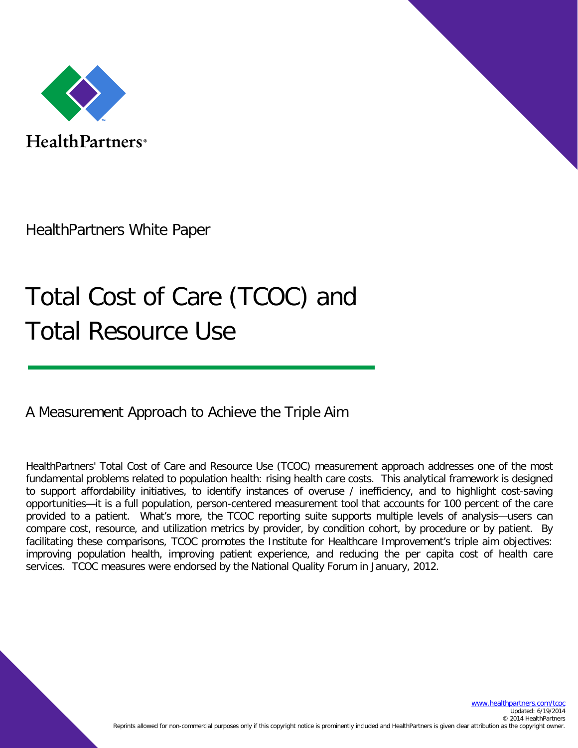

Health Partners<sup>®</sup>

HealthPartners White Paper

# Total Cost of Care (TCOC) and Total Resource Use

A Measurement Approach to Achieve the Triple Aim

HealthPartners' Total Cost of Care and Resource Use (TCOC) measurement approach addresses one of the most fundamental problems related to population health: rising health care costs. This analytical framework is designed to support affordability initiatives, to identify instances of overuse / inefficiency, and to highlight cost-saving opportunities—it is a full population, person-centered measurement tool that accounts for 100 percent of the care provided to a patient. What's more, the TCOC reporting suite supports multiple levels of analysis—users can compare cost, resource, and utilization metrics by provider, by condition cohort, by procedure or by patient. By facilitating these comparisons, TCOC promotes the Institute for Healthcare Improvement's triple aim objectives: improving population health, improving patient experience, and reducing the per capita cost of health care services. TCOC measures were endorsed by the National Quality Forum in January, 2012.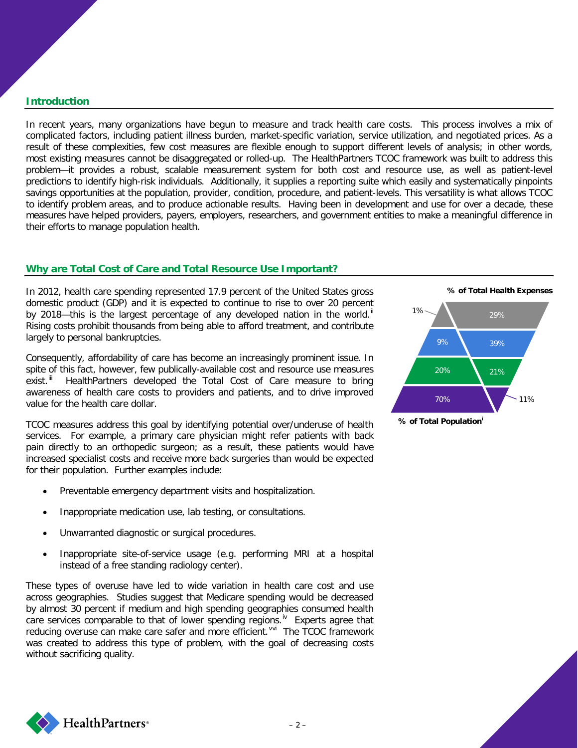# **Introduction**

In recent years, many organizations have begun to measure and track health care costs. This process involves a mix of complicated factors, including patient illness burden, market-specific variation, service utilization, and negotiated prices. As a result of these complexities, few cost measures are flexible enough to support different levels of analysis; in other words, most existing measures cannot be disaggregated or rolled-up. The HealthPartners TCOC framework was built to address this problem—it provides a robust, scalable measurement system for both cost and resource use, as well as patient-level predictions to identify high-risk individuals. Additionally, it supplies a reporting suite which easily and systematically pinpoints savings opportunities at the population, provider, condition, procedure, and patient-levels. This versatility is what allows TCOC to identify problem areas, and to produce actionable results. Having been in development and use for over a decade, these measures have helped providers, payers, employers, researchers, and government entities to make a meaningful difference in their efforts to manage population health.

# **Why are Total Cost of Care and Total Resource Use Important? [i](#page-7-0)**

In 2012, health care spending represented 17.9 percent of the United States gross domestic product (GDP) and it is expected to continue to rise to over 20 percent by 2018—this is the largest percentage of any developed nation in the world.<sup>[ii](#page-7-1)</sup> Rising costs prohibit thousands from being able to afford treatment, and contribute largely to personal bankruptcies.

Consequently, affordability of care has become an increasingly prominent issue. In spite of this fact, however, few publically-available cost and resource use measures exist.<sup>[iii](#page-7-2)</sup> HealthPartners developed the Total Cost of Care measure to bring awareness of health care costs to providers and patients, and to drive improved value for the health care dollar.

TCOC measures address this goal by identifying potential over/underuse of health services. For example, a primary care physician might refer patients with back pain directly to an orthopedic surgeon; as a result, these patients would have increased specialist costs and receive more back surgeries than would be expected for their population. Further examples include:

- Preventable emergency department visits and hospitalization.
- Inappropriate medication use, lab testing, or consultations.
- Unwarranted diagnostic or surgical procedures.
- Inappropriate site-of-service usage (e.g. performing MRI at a hospital instead of a free standing radiology center).

These types of overuse have led to wide variation in health care cost and use across geographies. Studies suggest that Medicare spending would be decreased by almost 30 percent if medium and high spending geographies consumed health care services comparable to that of lower spending regions.<sup> $iv$ </sup> Experts agree that reducing o[v](#page-7-4)eruse can make care safer and more efficient.<sup>v[vi](#page-7-5)</sup> The TCOC framework was created to address this type of problem, with the goal of decreasing costs without sacrificing quality.



**% of Total Population<sup>i</sup>**

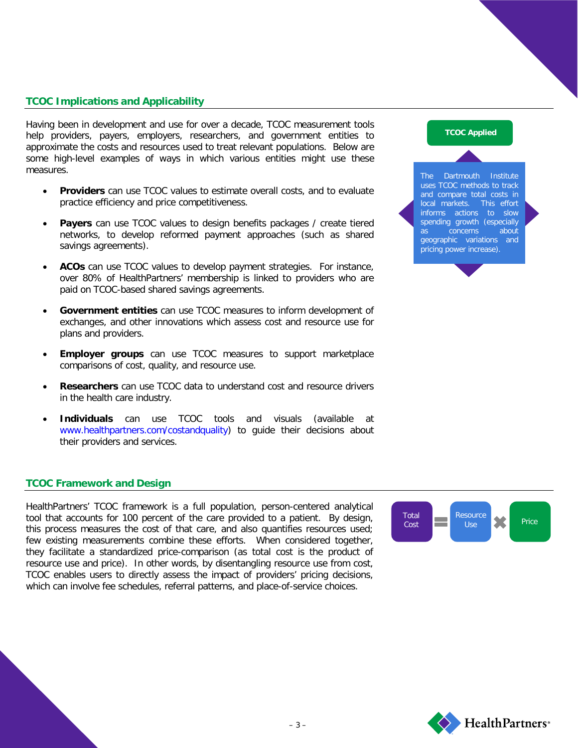# **TCOC Implications and Applicability**

Having been in development and use for over a decade, TCOC measurement tools help providers, payers, employers, researchers, and government entities to approximate the costs and resources used to treat relevant populations. Below are some high-level examples of ways in which various entities might use these measures.

- **Providers** can use TCOC values to estimate overall costs, and to evaluate practice efficiency and price competitiveness.
- **Payers** can use TCOC values to design benefits packages / create tiered networks, to develop reformed payment approaches (such as shared savings agreements).
- **ACOs** can use TCOC values to develop payment strategies. For instance, over 80% of HealthPartners' membership is linked to providers who are paid on TCOC-based shared savings agreements.
- **Government entities** can use TCOC measures to inform development of exchanges, and other innovations which assess cost and resource use for plans and providers.
- **Employer groups** can use TCOC measures to support marketplace comparisons of cost, quality, and resource use.
- **Researchers** can use TCOC data to understand cost and resource drivers in the health care industry.
- **Individuals** can use TCOC tools and visuals (available at [www.healthpartners.com/costandquality\)](http://www.healthpartners.com/costandquality) to guide their decisions about their providers and services.

#### **TCOC Framework and Design**

HealthPartners' TCOC framework is a full population, person-centered analytical tool that accounts for 100 percent of the care provided to a patient. By design, this process measures the cost of that care, and also quantifies resources used; few existing measurements combine these efforts. When considered together, they facilitate a standardized price-comparison (as total cost is the product of resource use and price). In other words, by disentangling resource use from cost, TCOC enables users to directly assess the impact of providers' pricing decisions, which can involve fee schedules, referral patterns, and place-of-service choices.







The Dartmouth Institute uses TCOC methods to track and compare total costs in local markets. This effort informs actions to slow spending growth (especially as concerns about geographic variations and pricing power increase).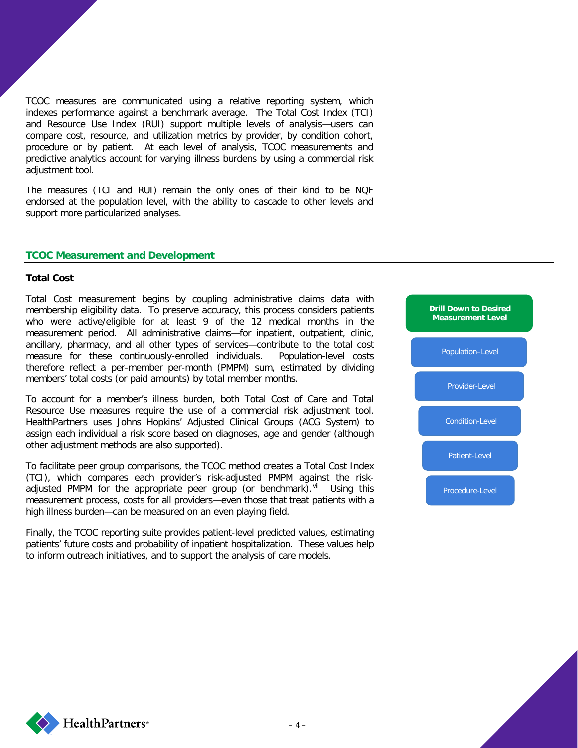TCOC measures are communicated using a relative reporting system, which indexes performance against a benchmark average. The Total Cost Index (TCI) and Resource Use Index (RUI) support multiple levels of analysis—users can compare cost, resource, and utilization metrics by provider, by condition cohort, procedure or by patient. At each level of analysis, TCOC measurements and predictive analytics account for varying illness burdens by using a commercial risk adjustment tool.

The measures (TCI and RUI) remain the only ones of their kind to be NQF endorsed at the population level, with the ability to cascade to other levels and support more particularized analyses.

### **TCOC Measurement and Development**

#### **Total Cost**

Total Cost measurement begins by coupling administrative claims data with membership eligibility data. To preserve accuracy, this process considers patients who were active/eligible for at least 9 of the 12 medical months in the measurement period. All administrative claims—for inpatient, outpatient, clinic, ancillary, pharmacy, and all other types of services—contribute to the total cost measure for these continuously-enrolled individuals. Population-level costs therefore reflect a per-member per-month (PMPM) sum, estimated by dividing members' total costs (or paid amounts) by total member months.

To account for a member's illness burden, both Total Cost of Care and Total Resource Use measures require the use of a commercial risk adjustment tool. HealthPartners uses Johns Hopkins' Adjusted Clinical Groups (ACG System) to assign each individual a risk score based on diagnoses, age and gender (although other adjustment methods are also supported).

To facilitate peer group comparisons, the TCOC method creates a Total Cost Index (TCI), which compares each provider's risk-adjusted PMPM against the riskadjusted PMPM for the appropriate peer group (or benchmark). Vil Using this measurement process, costs for all providers—even those that treat patients with a high illness burden—can be measured on an even playing field.

Finally, the TCOC reporting suite provides patient-level predicted values, estimating patients' future costs and probability of inpatient hospitalization. These values help to inform outreach initiatives, and to support the analysis of care models.



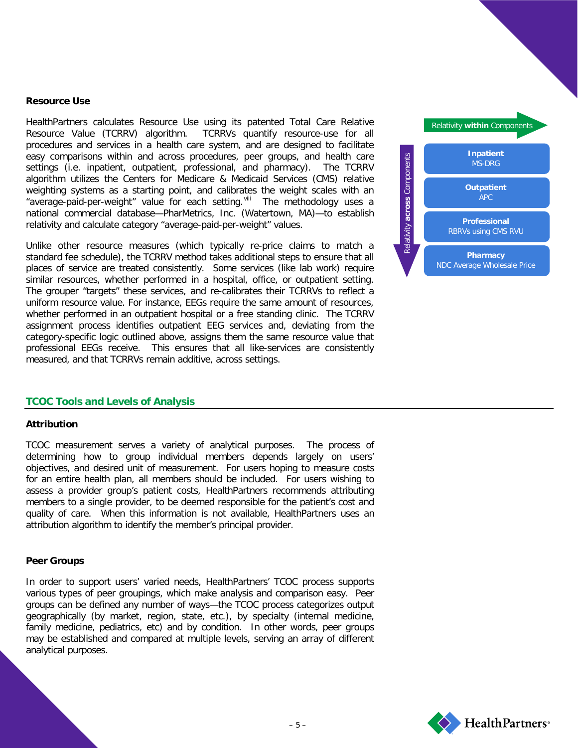#### **Resource Use**

HealthPartners calculates Resource Use using its patented Total Care Relative Resource Value (TCRRV) algorithm. TCRRVs quantify resource-use for all procedures and services in a health care system, and are designed to facilitate easy comparisons within and across procedures, peer groups, and health care settings (i.e. inpatient, outpatient, professional, and pharmacy). The TCRRV algorithm utilizes the Centers for Medicare & Medicaid Services (CMS) relative weighting systems as a starting point, and calibrates the weight scales with an "average-paid-per-weight" value for each setting. Vill The methodology uses a national commercial database—PharMetrics, Inc. (Watertown, MA)—to establish relativity and calculate category "average-paid-per-weight" values.

Unlike other resource measures (which typically re-price claims to match a standard fee schedule), the TCRRV method takes additional steps to ensure that all places of service are treated consistently. Some services (like lab work) require similar resources, whether performed in a hospital, office, or outpatient setting. The grouper "targets" these services, and re-calibrates their TCRRVs to reflect a uniform resource value. For instance, EEGs require the same amount of resources, whether performed in an outpatient hospital or a free standing clinic. The TCRRV assignment process identifies outpatient EEG services and, deviating from the category-specific logic outlined above, assigns them the same resource value that professional EEGs receive. This ensures that all like-services are consistently measured, and that TCRRVs remain additive, across settings.



### **TCOC Tools and Levels of Analysis**

#### **Attribution**

TCOC measurement serves a variety of analytical purposes. The process of determining how to group individual members depends largely on users' objectives, and desired unit of measurement. For users hoping to measure costs for an entire health plan, all members should be included. For users wishing to assess a provider group's patient costs, HealthPartners recommends attributing members to a single provider, to be deemed responsible for the patient's cost and quality of care. When this information is not available, HealthPartners uses an attribution algorithm to identify the member's principal provider.

#### **Peer Groups**

In order to support users' varied needs, HealthPartners' TCOC process supports various types of peer groupings, which make analysis and comparison easy. Peer groups can be defined any number of ways—the TCOC process categorizes output geographically (by market, region, state, etc.), by specialty (internal medicine, family medicine, pediatrics, etc) and by condition. In other words, peer groups may be established and compared at multiple levels, serving an array of different analytical purposes.

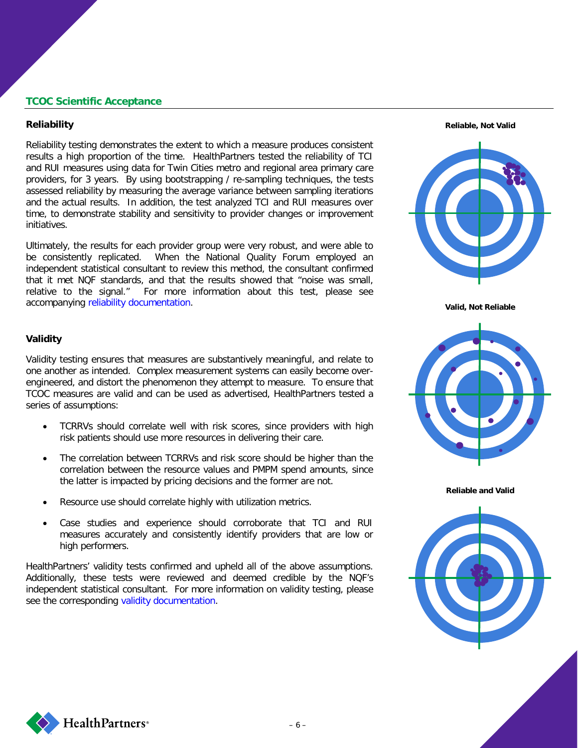# **TCOC Scientific Acceptance**

#### **Reliability**

Reliability testing demonstrates the extent to which a measure produces consistent results a high proportion of the time. HealthPartners tested the reliability of TCI and RUI measures using data for Twin Cities metro and regional area primary care providers, for 3 years. By using bootstrapping / re-sampling techniques, the tests assessed reliability by measuring the average variance between sampling iterations and the actual results. In addition, the test analyzed TCI and RUI measures over time, to demonstrate stability and sensitivity to provider changes or improvement initiatives.

Ultimately, the results for each provider group were very robust, and were able to be consistently replicated. When the National Quality Forum employed an independent statistical consultant to review this method, the consultant confirmed that it met NQF standards, and that the results showed that "noise was small, relative to the signal." For more information about this test, please see accompanying [reliability documentation.](https://www.healthpartners.com/ucm/groups/public/@hp/@public/documents/documents/dev_057895.pdf)



**Valid, Not Reliable**

#### **Validity**

Validity testing ensures that measures are substantively meaningful, and relate to one another as intended. Complex measurement systems can easily become overengineered, and distort the phenomenon they attempt to measure. To ensure that TCOC measures are valid and can be used as advertised, HealthPartners tested a series of assumptions:

- TCRRVs should correlate well with risk scores, since providers with high risk patients should use more resources in delivering their care.
- The correlation between TCRRVs and risk score should be higher than the correlation between the resource values and PMPM spend amounts, since the latter is impacted by pricing decisions and the former are not.
- Resource use should correlate highly with utilization metrics.
- Case studies and experience should corroborate that TCI and RUI measures accurately and consistently identify providers that are low or high performers.

HealthPartners' validity tests confirmed and upheld all of the above assumptions. Additionally, these tests were reviewed and deemed credible by the NQF's independent statistical consultant. For more information on validity testing, please see the corresponding [validity documentation.](https://www.healthpartners.com/ucm/groups/public/@hp/@public/documents/documents/dev_057897.pdf)







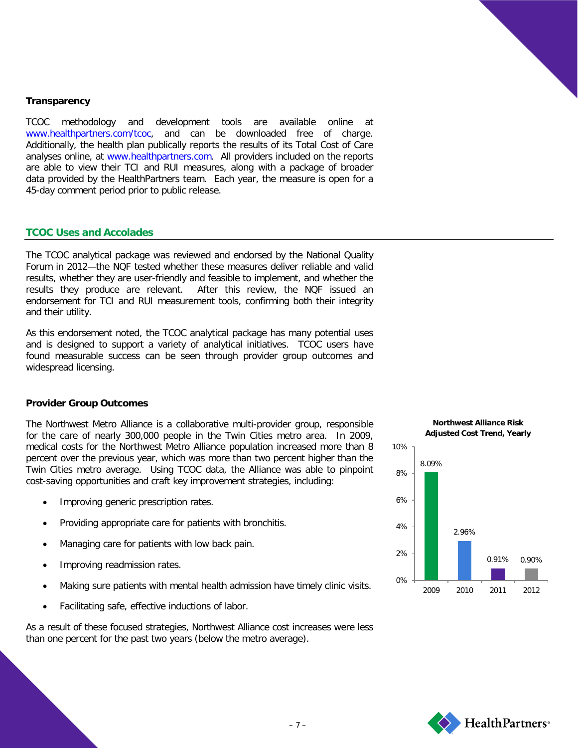

# **Transparency**

TCOC methodology and development tools are available online [www.healthpartners.com/tcoc,](http://www.healthpartners.com/tcoc) and can be downloaded free of charge. Additionally, the health plan publically reports the results of its Total Cost of Care analyses online, at [www.healthpartners.com.](http://www.healthpartners.com/) All providers included on the reports are able to view their TCI and RUI measures, along with a package of broader data provided by the HealthPartners team. Each year, the measure is open for a 45-day comment period prior to public release.

# **TCOC Uses and Accolades**

The TCOC analytical package was reviewed and endorsed by the National Quality Forum in 2012—the NQF tested whether these measures deliver reliable and valid results, whether they are user-friendly and feasible to implement, and whether the results they produce are relevant. After this review, the NQF issued an endorsement for TCI and RUI measurement tools, confirming both their integrity and their utility.

As this endorsement noted, the TCOC analytical package has many potential uses and is designed to support a variety of analytical initiatives. TCOC users have found measurable success can be seen through provider group outcomes and widespread licensing.

#### **Provider Group Outcomes**

The Northwest Metro Alliance is a collaborative multi-provider group, responsible for the care of nearly 300,000 people in the Twin Cities metro area. In 2009, medical costs for the Northwest Metro Alliance population increased more than 8 percent over the previous year, which was more than two percent higher than the Twin Cities metro average. Using TCOC data, the Alliance was able to pinpoint cost-saving opportunities and craft key improvement strategies, including:

- Improving generic prescription rates.
- Providing appropriate care for patients with bronchitis.
- Managing care for patients with low back pain.
- Improving readmission rates.
- Making sure patients with mental health admission have timely clinic visits.
- Facilitating safe, effective inductions of labor.

As a result of these focused strategies, Northwest Alliance cost increases were less than one percent for the past two years (below the metro average).